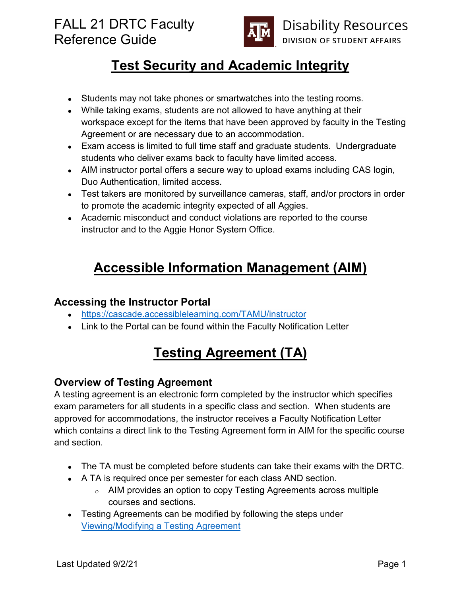

# **Test Security and Academic Integrity**

- Students may not take phones or smartwatches into the testing rooms.
- While taking exams, students are not allowed to have anything at their workspace except for the items that have been approved by faculty in the Testing Agreement or are necessary due to an accommodation.
- Exam access is limited to full time staff and graduate students. Undergraduate students who deliver exams back to faculty have limited access.
- AIM instructor portal offers a secure way to upload exams including CAS login, Duo Authentication, limited access.
- Test takers are monitored by surveillance cameras, staff, and/or proctors in order to promote the academic integrity expected of all Aggies.
- Academic misconduct and conduct violations are reported to the course instructor and to the Aggie Honor System Office.

## **Accessible Information Management (AIM)**

#### **Accessing the Instructor Portal**

- <https://cascade.accessiblelearning.com/TAMU/instructor>
- Link to the Portal can be found within the Faculty Notification Letter

## **Testing Agreement (TA)**

#### **Overview of Testing Agreement**

A testing agreement is an electronic form completed by the instructor which specifies exam parameters for all students in a specific class and section. When students are approved for accommodations, the instructor receives a Faculty Notification Letter which contains a direct link to the Testing Agreement form in AIM for the specific course and section.

- The TA must be completed before students can take their exams with the DRTC.
- A TA is required once per semester for each class AND section.
	- $\circ$  AIM provides an option to copy Testing Agreements across multiple courses and sections.
- Testing Agreements can be modified by following the steps under [Viewing/Modifying a Testing Agreement](#page-2-0)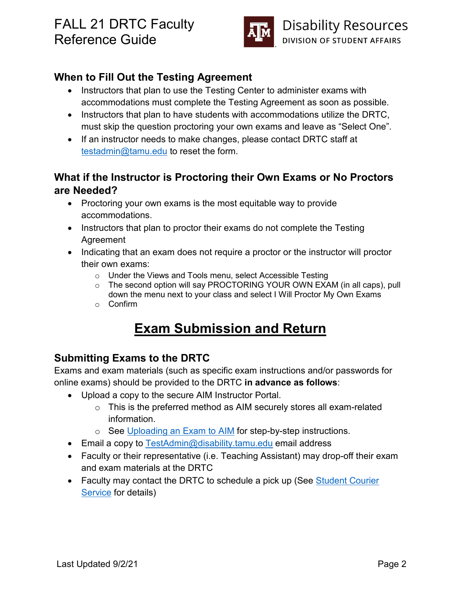

#### **When to Fill Out the Testing Agreement**

- Instructors that plan to use the Testing Center to administer exams with accommodations must complete the Testing Agreement as soon as possible.
- Instructors that plan to have students with accommodations utilize the DRTC, must skip the question proctoring your own exams and leave as "Select One".
- If an instructor needs to make changes, please contact DRTC staff at [testadmin@tamu.edu](mailto:testadmin@tamu.edu) to reset the form.

#### **What if the Instructor is Proctoring their Own Exams or No Proctors are Needed?**

- Proctoring your own exams is the most equitable way to provide accommodations.
- Instructors that plan to proctor their exams do not complete the Testing Agreement
- Indicating that an exam does not require a proctor or the instructor will proctor their own exams:
	- o Under the Views and Tools menu, select Accessible Testing
	- $\circ$  The second option will say PROCTORING YOUR OWN EXAM (in all caps), pull down the menu next to your class and select I Will Proctor My Own Exams
	- o Confirm

# **Exam Submission and Return**

#### **Submitting Exams to the DRTC**

Exams and exam materials (such as specific exam instructions and/or passwords for online exams) should be provided to the DRTC **in advance as follows**:

- Upload a copy to the secure AIM Instructor Portal.
	- $\circ$  This is the preferred method as AIM securely stores all exam-related information.
	- o See Uploading [an Exam to AIM](#page-3-0) for step-by-step instructions.
- Email a copy to [TestAdmin@disability.tamu.edu](mailto:TestAdmin@disability.tamu.edu) email address
- Faculty or their representative (i.e. Teaching Assistant) may drop-off their exam and exam materials at the DRTC
- Faculty may contact the DRTC to schedule a pick up (See Student Courier [Service](#page-2-1) for details)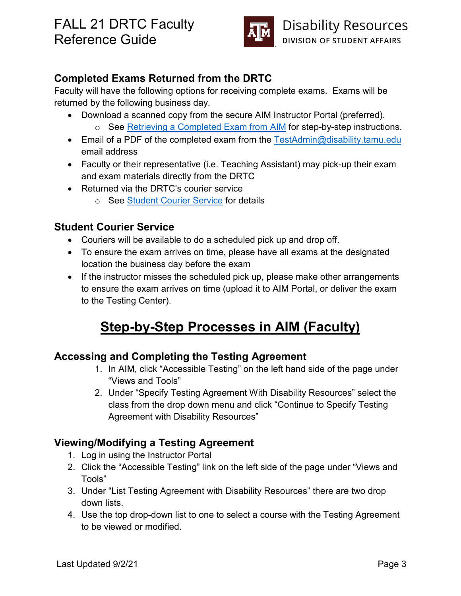

#### **Completed Exams Returned from the DRTC**

Faculty will have the following options for receiving complete exams. Exams will be returned by the following business day.

- Download a scanned copy from the secure AIM Instructor Portal (preferred). o See [Retrieving a Completed](#page-3-1) Exam from AIM for step-by-step instructions.
- Email of a PDF of the completed exam from the [TestAdmin@disability.tamu.edu](mailto:TestAdmin@disability.tamu.edu) email address
- Faculty or their representative (i.e. Teaching Assistant) may pick-up their exam and exam materials directly from the DRTC
- Returned via the DRTC's courier service
	- o See [Student Courier Service](#page-2-1) for details

#### <span id="page-2-1"></span>**Student Courier Service**

- Couriers will be available to do a scheduled pick up and drop off.
- To ensure the exam arrives on time, please have all exams at the designated location the business day before the exam
- If the instructor misses the scheduled pick up, please make other arrangements to ensure the exam arrives on time (upload it to AIM Portal, or deliver the exam to the Testing Center).

# **Step-by-Step Processes in AIM (Faculty)**

#### **Accessing and Completing the Testing Agreement**

- 1. In AIM, click "Accessible Testing" on the left hand side of the page under "Views and Tools"
- 2. Under "Specify Testing Agreement With Disability Resources" select the class from the drop down menu and click "Continue to Specify Testing Agreement with Disability Resources"

#### <span id="page-2-0"></span>**Viewing/Modifying a Testing Agreement**

- 1. Log in using the Instructor Portal
- 2. Click the "Accessible Testing" link on the left side of the page under "Views and Tools"
- 3. Under "List Testing Agreement with Disability Resources" there are two drop down lists.
- 4. Use the top drop-down list to one to select a course with the Testing Agreement to be viewed or modified.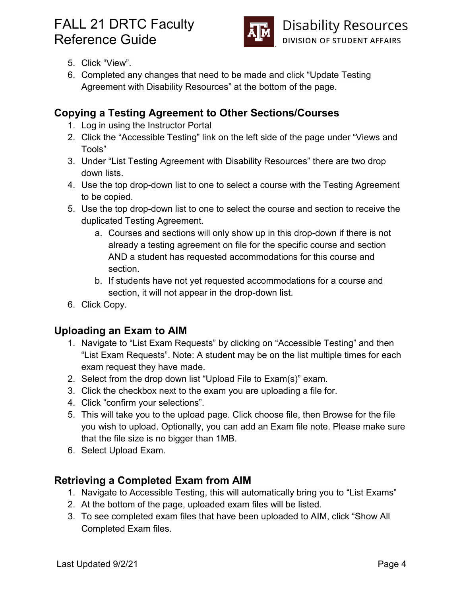

- 5. Click "View".
- 6. Completed any changes that need to be made and click "Update Testing Agreement with Disability Resources" at the bottom of the page.

#### **Copying a Testing Agreement to Other Sections/Courses**

- 1. Log in using the Instructor Portal
- 2. Click the "Accessible Testing" link on the left side of the page under "Views and Tools"
- 3. Under "List Testing Agreement with Disability Resources" there are two drop down lists.
- 4. Use the top drop-down list to one to select a course with the Testing Agreement to be copied.
- 5. Use the top drop-down list to one to select the course and section to receive the duplicated Testing Agreement.
	- a. Courses and sections will only show up in this drop-down if there is not already a testing agreement on file for the specific course and section AND a student has requested accommodations for this course and section.
	- b. If students have not yet requested accommodations for a course and section, it will not appear in the drop-down list.
- 6. Click Copy.

#### <span id="page-3-0"></span>**Uploading an Exam to AIM**

- 1. Navigate to "List Exam Requests" by clicking on "Accessible Testing" and then "List Exam Requests". Note: A student may be on the list multiple times for each exam request they have made.
- 2. Select from the drop down list "Upload File to Exam(s)" exam.
- 3. Click the checkbox next to the exam you are uploading a file for.
- 4. Click "confirm your selections".
- 5. This will take you to the upload page. Click choose file, then Browse for the file you wish to upload. Optionally, you can add an Exam file note. Please make sure that the file size is no bigger than 1MB.
- 6. Select Upload Exam.

#### <span id="page-3-1"></span>**Retrieving a Completed Exam from AIM**

- 1. Navigate to Accessible Testing, this will automatically bring you to "List Exams"
- 2. At the bottom of the page, uploaded exam files will be listed.
- 3. To see completed exam files that have been uploaded to AIM, click "Show All Completed Exam files.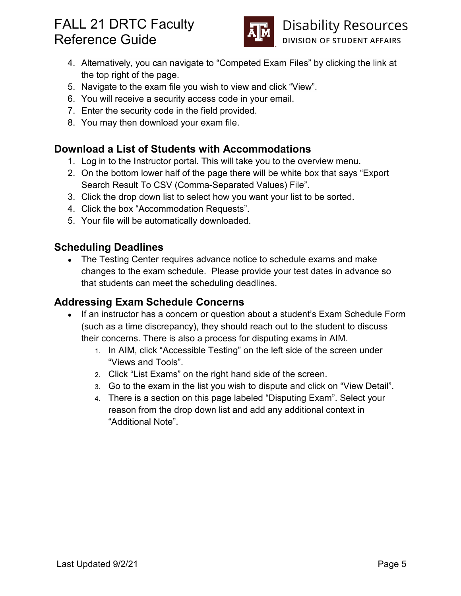

**Disability Resources** DIVISION OF STUDENT AFFAIRS

- 4. Alternatively, you can navigate to "Competed Exam Files" by clicking the link at the top right of the page.
- 5. Navigate to the exam file you wish to view and click "View".
- 6. You will receive a security access code in your email.
- 7. Enter the security code in the field provided.
- 8. You may then download your exam file.

#### **Download a List of Students with Accommodations**

- 1. Log in to the Instructor portal. This will take you to the overview menu.
- 2. On the bottom lower half of the page there will be white box that says "Export Search Result To CSV (Comma-Separated Values) File".
- 3. Click the drop down list to select how you want your list to be sorted.
- 4. Click the box "Accommodation Requests".
- 5. Your file will be automatically downloaded.

#### **Scheduling Deadlines**

• The Testing Center requires advance notice to schedule exams and make changes to the exam schedule. Please provide your test dates in advance so that students can meet the scheduling deadlines.

#### **Addressing Exam Schedule Concerns**

- If an instructor has a concern or question about a student's Exam Schedule Form (such as a time discrepancy), they should reach out to the student to discuss their concerns. There is also a process for disputing exams in AIM.
	- 1. In AIM, click "Accessible Testing" on the left side of the screen under "Views and Tools".
	- 2. Click "List Exams" on the right hand side of the screen.
	- 3. Go to the exam in the list you wish to dispute and click on "View Detail".
	- 4. There is a section on this page labeled "Disputing Exam". Select your reason from the drop down list and add any additional context in "Additional Note".